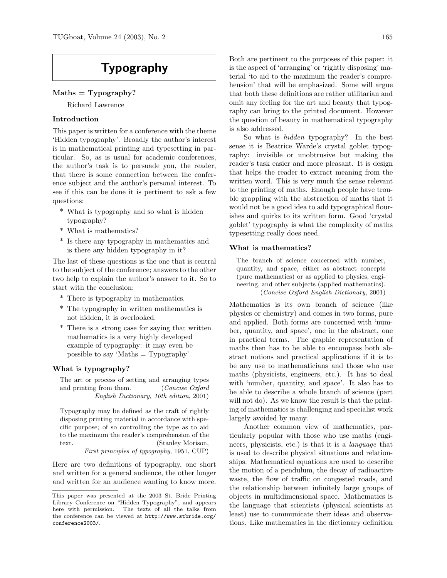# Typography

# $Maths = Typeography?$

Richard Lawrence

## Introduction

This paper is written for a conference with the theme 'Hidden typography'. Broadly the author's interest is in mathematical printing and typesetting in particular. So, as is usual for academic conferences, the author's task is to persuade you, the reader, that there is some connection between the conference subject and the author's personal interest. To see if this can be done it is pertinent to ask a few questions:

- \* What is typography and so what is hidden typography?
- What is mathematics?
- \* Is there any typography in mathematics and is there any hidden typography in it?

The last of these questions is the one that is central to the subject of the conference; answers to the other two help to explain the author's answer to it. So to start with the conclusion:

- \* There is typography in mathematics.
- \* The typography in written mathematics is not hidden, it is overlooked.
- \* There is a strong case for saying that written mathematics is a very highly developed example of typography: it may even be possible to say 'Maths = Typography'.

## What is typography?

The art or process of setting and arranging types and printing from them. (Concise Oxford English Dictionary, 10th edition, 2001)

Typography may be defined as the craft of rightly disposing printing material in accordance with specific purpose; of so controlling the type as to aid to the maximum the reader's comprehension of the text. (Stanley Morison, First principles of typography, 1951, CUP)

Here are two definitions of typography, one short and written for a general audience, the other longer and written for an audience wanting to know more. Both are pertinent to the purposes of this paper: it is the aspect of 'arranging' or 'rightly disposing' material 'to aid to the maximum the reader's comprehension' that will be emphasized. Some will argue that both these definitions are rather utilitarian and omit any feeling for the art and beauty that typography can bring to the printed document. However the question of beauty in mathematical typography is also addressed.

So what is hidden typography? In the best sense it is Beatrice Warde's crystal goblet typography: invisible or unobtrusive but making the reader's task easier and more pleasant. It is design that helps the reader to extract meaning from the written word. This is very much the sense relevant to the printing of maths. Enough people have trouble grappling with the abstraction of maths that it would not be a good idea to add typographical flourishes and quirks to its written form. Good 'crystal goblet' typography is what the complexity of maths typesetting really does need.

### What is mathematics?

The branch of science concerned with number, quantity, and space, either as abstract concepts (pure mathematics) or as applied to physics, engineering, and other subjects (applied mathematics). (Concise Oxford English Dictionary, 2001)

Mathematics is its own branch of science (like physics or chemistry) and comes in two forms, pure and applied. Both forms are concerned with 'number, quantity, and space', one in the abstract, one in practical terms. The graphic representation of maths then has to be able to encompass both abstract notions and practical applications if it is to be any use to mathematicians and those who use maths (physicists, engineers, etc.). It has to deal with 'number, quantity, and space'. It also has to be able to describe a whole branch of science (part will not do). As we know the result is that the printing of mathematics is challenging and specialist work largely avoided by many.

Another common view of mathematics, particularly popular with those who use maths (engineers, physicists, etc.) is that it is a language that is used to describe physical situations and relationships. Mathematical equations are used to describe the motion of a pendulum, the decay of radioactive waste, the flow of traffic on congested roads, and the relationship between infinitely large groups of objects in multidimensional space. Mathematics is the language that scientists (physical scientists at least) use to communicate their ideas and observations. Like mathematics in the dictionary definition

This paper was presented at the 2003 St. Bride Printing Library Conference on "Hidden Typography", and appears here with permission. The texts of all the talks from the conference can be viewed at http://www.stbride.org/ conference2003/.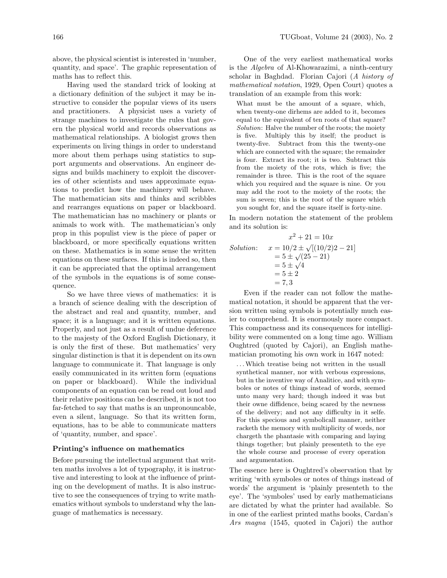above, the physical scientist is interested in 'number, quantity, and space'. The graphic representation of maths has to reflect this.

Having used the standard trick of looking at a dictionary definition of the subject it may be instructive to consider the popular views of its users and practitioners. A physicist uses a variety of strange machines to investigate the rules that govern the physical world and records observations as mathematical relationships. A biologist grows then experiments on living things in order to understand more about them perhaps using statistics to support arguments and observations. An engineer designs and builds machinery to exploit the discoveries of other scientists and uses approximate equations to predict how the machinery will behave. The mathematician sits and thinks and scribbles and rearranges equations on paper or blackboard. The mathematician has no machinery or plants or animals to work with. The mathematician's only prop in this populist view is the piece of paper or blackboard, or more specifically equations written on these. Mathematics is in some sense the written equations on these surfaces. If this is indeed so, then it can be appreciated that the optimal arrangement of the symbols in the equations is of some consequence.

So we have three views of mathematics: it is a branch of science dealing with the description of the abstract and real and quantity, number, and space; it is a language; and it is written equations. Properly, and not just as a result of undue deference to the majesty of the Oxford English Dictionary, it is only the first of these. But mathematics' very singular distinction is that it is dependent on its own language to communicate it. That language is only easily communicated in its written form (equations on paper or blackboard). While the individual components of an equation can be read out loud and their relative positions can be described, it is not too far-fetched to say that maths is an unpronouncable, even a silent, language. So that its written form, equations, has to be able to communicate matters of 'quantity, number, and space'.

### Printing's influence on mathematics

Before pursuing the intellectual argument that written maths involves a lot of typography, it is instructive and interesting to look at the influence of printing on the development of maths. It is also instructive to see the consequences of trying to write mathematics without symbols to understand why the language of mathematics is necessary.

One of the very earliest mathematical works is the Algebra of Al-Khowarazimi, a ninth-century scholar in Baghdad. Florian Cajori (A history of mathematical notation, 1929, Open Court) quotes a translation of an example from this work:

What must be the amount of a square, which, when twenty-one dirhems are added to it, becomes equal to the equivalent of ten roots of that square? Solution: Halve the number of the roots; the moiety is five. Multiply this by itself; the product is twenty-five. Subtract from this the twenty-one which are connected with the square; the remainder is four. Extract its root; it is two. Subtract this from the moiety of the rots, which is five; the remainder is three. This is the root of the square which you required and the square is nine. Or you may add the root to the moiety of the roots; the sum is seven; this is the root of the square which you sought for, and the square itself is forty-nine.

In modern notation the statement of the problem and its solution is:

Solution: 
$$
x^2 + 21 = 10x
$$
  
\nSolution: 
$$
x = 10/2 \pm \sqrt{[(10/2)2 - 21]}
$$
  
\n
$$
= 5 \pm \sqrt{4}
$$
  
\n
$$
= 5 \pm 2
$$
  
\n
$$
= 7, 3
$$

Even if the reader can not follow the mathematical notation, it should be apparent that the version written using symbols is potentially much easier to comprehend. It is enormously more compact. This compactness and its consequences for intelligibility were commented on a long time ago. William Oughtred (quoted by Cajori), an English mathematician promoting his own work in 1647 noted:

. . .Which treatise being not written in the usuall synthetical manner, nor with verbous expressions, but in the inventive way of Analitice, and with symboles or notes of things instead of words, seemed unto many very hard; though indeed it was but their owne diffidence, being scared by the newness of the delivery; and not any difficulty in it selfe. For this specious and symbolicall manner, neither racketh the memory with multiplicity of words, nor chargeth the phantasie with comparing and laying things together; but plainly presenteth to the eye the whole course and processe of every operation and argumentation.

The essence here is Oughtred's observation that by writing 'with symboles or notes of things instead of words' the argument is 'plainly presenteth to the eye'. The 'symboles' used by early mathematicians are dictated by what the printer had available. So in one of the earliest printed maths books, Cardan's Ars magna (1545, quoted in Cajori) the author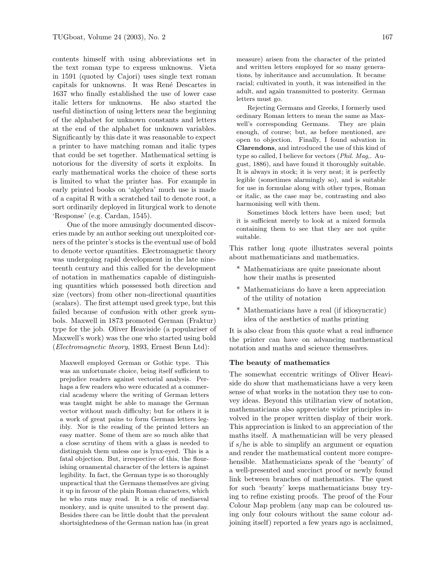contents himself with using abbreviations set in the text roman type to express unknowns. Vieta in 1591 (quoted by Cajori) uses single text roman capitals for unknowns. It was Ren´e Descartes in 1637 who finally established the use of lower case italic letters for unknowns. He also started the useful distinction of using letters near the beginning of the alphabet for unknown constants and letters at the end of the alphabet for unknown variables. Significantly by this date it was reasonable to expect a printer to have matching roman and italic types that could be set together. Mathematical setting is notorious for the diversity of sorts it exploits. In early mathematical works the choice of these sorts is limited to what the printer has. For example in early printed books on 'algebra' much use is made of a capital R with a scratched tail to denote root, a sort ordinarily deployed in liturgical work to denote 'Response' (e.g. Cardan, 1545).

One of the more amusingly documented discoveries made by an author seeking out unexploited corners of the printer's stocks is the eventual use of bold to denote vector quantities. Electromagnetic theory was undergoing rapid development in the late nineteenth century and this called for the development of notation in mathematics capable of distinguishing quantities which possessed both direction and size (vectors) from other non-directional quantities (scalars). The first attempt used greek type, but this failed because of confusion with other greek symbols. Maxwell in 1873 promoted German (Fraktur) type for the job. Oliver Heaviside (a populariser of Maxwell's work) was the one who started using bold (Electromagnetic theory, 1893, Ernest Benn Ltd):

Maxwell employed German or Gothic type. This was an unfortunate choice, being itself sufficient to prejudice readers against vectorial analysis. Perhaps a few readers who were educated at a commercial academy where the writing of German letters was taught might be able to manage the German vector without much difficulty; but for others it is a work of great pains to form German letters legibly. Nor is the reading of the printed letters an easy matter. Some of them are so much alike that a close scrutiny of them with a glass is needed to distinguish them unless one is lynx-eyed. This is a fatal objection. But, irrespective of this, the flourishing ornamental character of the letters is against legibility. In fact, the German type is so thoroughly unpractical that the Germans themselves are giving it up in favour of the plain Roman characters, which he who runs may read. It is a relic of mediaeval monkery, and is quite unsuited to the present day. Besides there can be little doubt that the prevalent shortsightedness of the German nation has (in great measure) arisen from the character of the printed and written letters employed for so many generations, by inheritance and accumulation. It became racial; cultivated in youth, it was intensified in the adult, and again transmitted to posterity. German letters must go.

Rejecting Germans and Greeks, I formerly used ordinary Roman letters to mean the same as Maxwell's corresponding Germans. They are plain enough, of course; but, as before mentioned, are open to objection. Finally, I found salvation in Clarendons, and introduced the use of this kind of type so called, I believe for vectors (Phil. Mag,. August, 1886), and have found it thoroughly suitable. It is always in stock; it is very neat; it is perfectly legible (sometimes alarmingly so), and is suitable for use in formulae along with other types, Roman or italic, as the case may be, contrasting and also harmonising well with them.

Sometimes block letters have been used; but it is sufficient merely to look at a mixed formula containing them to see that they are not quite suitable.

This rather long quote illustrates several points about mathematicians and mathematics.

- \* Mathematicians are quite passionate about how their maths is presented
- \* Mathematicians do have a keen appreciation of the utility of notation
- \* Mathematicians have a real (if idiosyncratic) idea of the aesthetics of maths printing

It is also clear from this quote what a real influence the printer can have on advancing mathematical notation and maths and science themselves.

## The beauty of mathematics

The somewhat eccentric writings of Oliver Heaviside do show that mathematicians have a very keen sense of what works in the notation they use to convey ideas. Beyond this utilitarian view of notation, mathematicians also appreciate wider principles involved in the proper written display of their work. This appreciation is linked to an appreciation of the maths itself. A mathematician will be very pleased if s/he is able to simplify an argument or equation and render the mathematical content more comprehensible. Mathematicians speak of the 'beauty' of a well-presented and succinct proof or newly found link between branches of mathematics. The quest for such 'beauty' keeps mathematicians busy trying to refine existing proofs. The proof of the Four Colour Map problem (any map can be coloured using only four colours without the same colour adjoining itself) reported a few years ago is acclaimed,